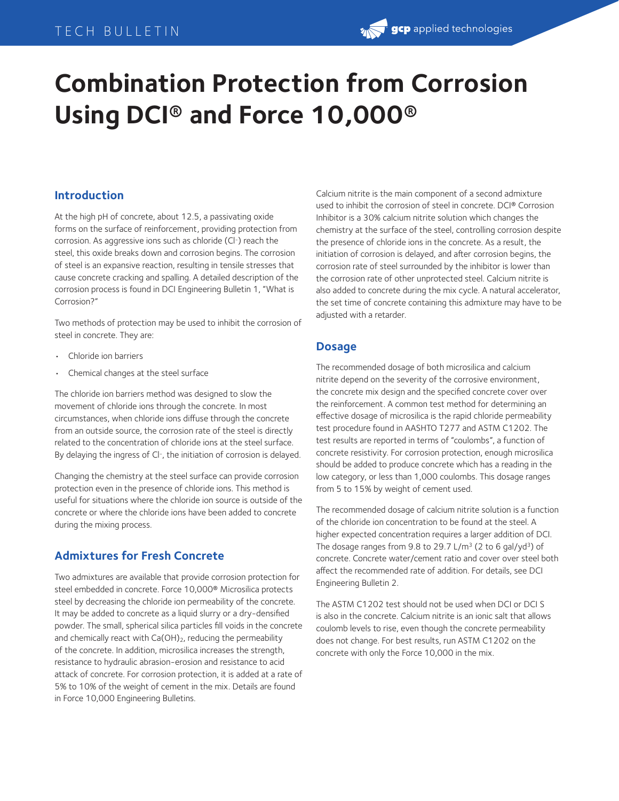# TECH BULLETIN

# **Combination Protection from Corrosion Using DCI® and Force 10,000®**

## **Introduction**

At the high pH of concrete, about 12.5, a passivating oxide forms on the surface of reinforcement, providing protection from corrosion. As aggressive ions such as chloride (Cl-) reach the steel, this oxide breaks down and corrosion begins. The corrosion of steel is an expansive reaction, resulting in tensile stresses that cause concrete cracking and spalling. A detailed description of the corrosion process is found in DCI Engineering Bulletin 1, "What is Corrosion?"

Two methods of protection may be used to inhibit the corrosion of steel in concrete. They are:

- Chloride ion barriers
- Chemical changes at the steel surface

The chloride ion barriers method was designed to slow the movement of chloride ions through the concrete. In most circumstances, when chloride ions diffuse through the concrete from an outside source, the corrosion rate of the steel is directly related to the concentration of chloride ions at the steel surface. By delaying the ingress of Cl-, the initiation of corrosion is delayed.

Changing the chemistry at the steel surface can provide corrosion protection even in the presence of chloride ions. This method is useful for situations where the chloride ion source is outside of the concrete or where the chloride ions have been added to concrete during the mixing process.

# **Admixtures for Fresh Concrete**

Two admixtures are available that provide corrosion protection for steel embedded in concrete. Force 10,000® Microsilica protects steel by decreasing the chloride ion permeability of the concrete. It may be added to concrete as a liquid slurry or a dry-densified powder. The small, spherical silica particles fill voids in the concrete and chemically react with  $Ca(OH)_2$ , reducing the permeability of the concrete. In addition, microsilica increases the strength, resistance to hydraulic abrasion-erosion and resistance to acid attack of concrete. For corrosion protection, it is added at a rate of 5% to 10% of the weight of cement in the mix. Details are found in Force 10,000 Engineering Bulletins.

Calcium nitrite is the main component of a second admixture used to inhibit the corrosion of steel in concrete. DCI® Corrosion Inhibitor is a 30% calcium nitrite solution which changes the chemistry at the surface of the steel, controlling corrosion despite the presence of chloride ions in the concrete. As a result, the initiation of corrosion is delayed, and after corrosion begins, the corrosion rate of steel surrounded by the inhibitor is lower than the corrosion rate of other unprotected steel. Calcium nitrite is also added to concrete during the mix cycle. A natural accelerator, the set time of concrete containing this admixture may have to be adjusted with a retarder.

#### **Dosage**

The recommended dosage of both microsilica and calcium nitrite depend on the severity of the corrosive environment, the concrete mix design and the specified concrete cover over the reinforcement. A common test method for determining an effective dosage of microsilica is the rapid chloride permeability test procedure found in AASHTO T277 and ASTM C1202. The test results are reported in terms of "coulombs", a function of concrete resistivity. For corrosion protection, enough microsilica should be added to produce concrete which has a reading in the low category, or less than 1,000 coulombs. This dosage ranges from 5 to 15% by weight of cement used.

The recommended dosage of calcium nitrite solution is a function of the chloride ion concentration to be found at the steel. A higher expected concentration requires a larger addition of DCI. The dosage ranges from 9.8 to 29.7 L/m<sup>3</sup> (2 to 6 gal/yd<sup>3</sup>) of concrete. Concrete water/cement ratio and cover over steel both affect the recommended rate of addition. For details, see DCI Engineering Bulletin 2.

The ASTM C1202 test should not be used when DCI or DCI S is also in the concrete. Calcium nitrite is an ionic salt that allows coulomb levels to rise, even though the concrete permeability does not change. For best results, run ASTM C1202 on the concrete with only the Force 10,000 in the mix.